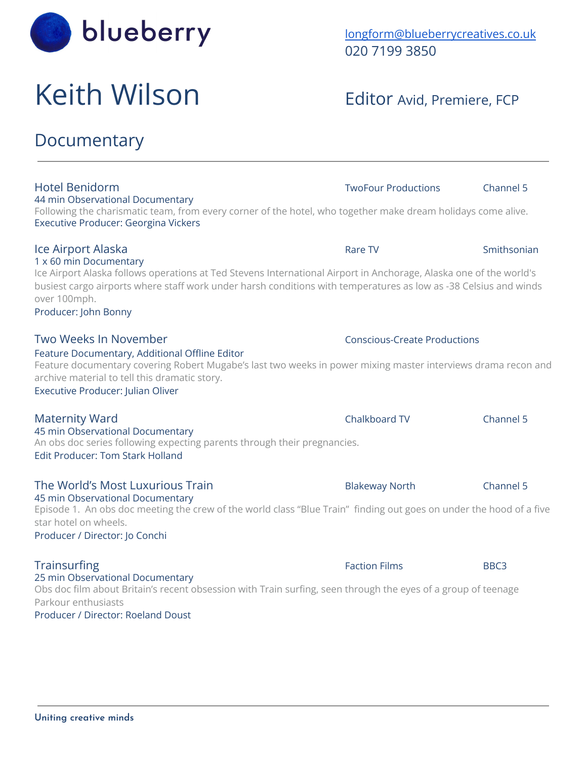

# Keith Wilson Editor Avid, Premiere, FCP

44 min Observational Documentary

Executive Producer: Georgina Vickers

## **Documentary**

1 x 60 min Documentary Ice Airport Alaska follows operations at Ted Stevens International Airport in Anchorage, Alaska one of the world's busiest cargo airports where staff work under harsh conditions with temperatures as low as -38 Celsius and winds over 100mph. Producer: John Bonny Two Weeks In November Conscious-Create Productions Feature Documentary, Additional Offline Editor Feature documentary covering Robert Mugabe's last two weeks in power mixing master interviews drama recon and archive material to tell this dramatic story. Executive Producer: Julian Oliver Maternity Ward Chalkboard TV Channel 5 45 min Observational Documentary An obs doc series following expecting parents through their pregnancies. Edit Producer: Tom Stark Holland The World's Most Luxurious Train The World's Most Luxurious Train 45 min Observational Documentary Episode 1. An obs doc meeting the crew of the world class "Blue Train" finding out goes on under the hood of a five star hotel on wheels.

Hotel Benidorm TwoFour Productions Channel 5

Following the charismatic team, from every corner of the hotel, who together make dream holidays come alive.

**Ice Airport Alaska Rational Community Community Community Community Community Community Community Community Community Community Community Community Community Community Community Community Community Community Community C** 

Producer / Director: Jo Conchi

### **Trainsurfing BBC3** BBC3 25 min Observational Documentary

Obs doc film about Britain's recent obsession with Train surfing, seen through the eyes of a group of teenage Parkour enthusiasts

Producer / Director: Roeland Doust

[longform@blueberrycreatives.co.uk](mailto:longform@blueberrycreatives.co.uk) 020 7199 3850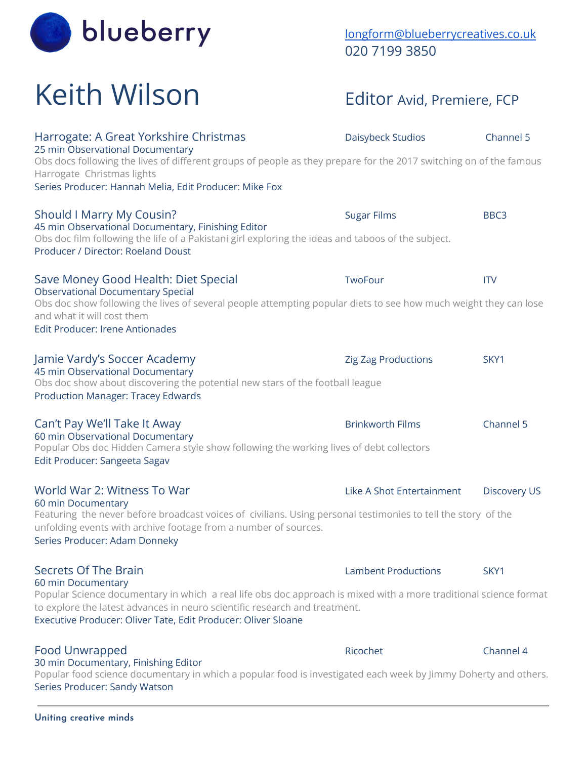

## [longform@blueberrycreatives.co.uk](mailto:longform@blueberrycreatives.co.uk) 020 7199 3850

# Keith Wilson Editor Avid, Premiere, FCP

| Harrogate: A Great Yorkshire Christmas<br>25 min Observational Documentary<br>Obs docs following the lives of different groups of people as they prepare for the 2017 switching on of the famous<br>Harrogate Christmas lights<br>Series Producer: Hannah Melia, Edit Producer: Mike Fox                       | Daisybeck Studios          | Channel 5           |
|----------------------------------------------------------------------------------------------------------------------------------------------------------------------------------------------------------------------------------------------------------------------------------------------------------------|----------------------------|---------------------|
| Should I Marry My Cousin?<br>45 min Observational Documentary, Finishing Editor<br>Obs doc film following the life of a Pakistani girl exploring the ideas and taboos of the subject.<br>Producer / Director: Roeland Doust                                                                                    | <b>Sugar Films</b>         | BBC <sub>3</sub>    |
| Save Money Good Health: Diet Special<br><b>Observational Documentary Special</b><br>Obs doc show following the lives of several people attempting popular diets to see how much weight they can lose<br>and what it will cost them<br>Edit Producer: Irene Antionades                                          | TwoFour                    | <b>ITV</b>          |
| Jamie Vardy's Soccer Academy<br>45 min Observational Documentary<br>Obs doc show about discovering the potential new stars of the football league<br><b>Production Manager: Tracey Edwards</b>                                                                                                                 | Zig Zag Productions        | SKY1                |
| Can't Pay We'll Take It Away<br>60 min Observational Documentary<br>Popular Obs doc Hidden Camera style show following the working lives of debt collectors<br>Edit Producer: Sangeeta Sagav                                                                                                                   | <b>Brinkworth Films</b>    | Channel 5           |
| World War 2: Witness To War<br>60 min Documentary<br>Featuring the never before broadcast voices of civilians. Using personal testimonies to tell the story of the<br>unfolding events with archive footage from a number of sources.<br>Series Producer: Adam Donneky                                         | Like A Shot Entertainment  | <b>Discovery US</b> |
| Secrets Of The Brain<br>60 min Documentary<br>Popular Science documentary in which a real life obs doc approach is mixed with a more traditional science format<br>to explore the latest advances in neuro scientific research and treatment.<br>Executive Producer: Oliver Tate, Edit Producer: Oliver Sloane | <b>Lambent Productions</b> | SKY1                |
| <b>Food Unwrapped</b><br>30 min Documentary, Finishing Editor                                                                                                                                                                                                                                                  | Ricochet                   | Channel 4           |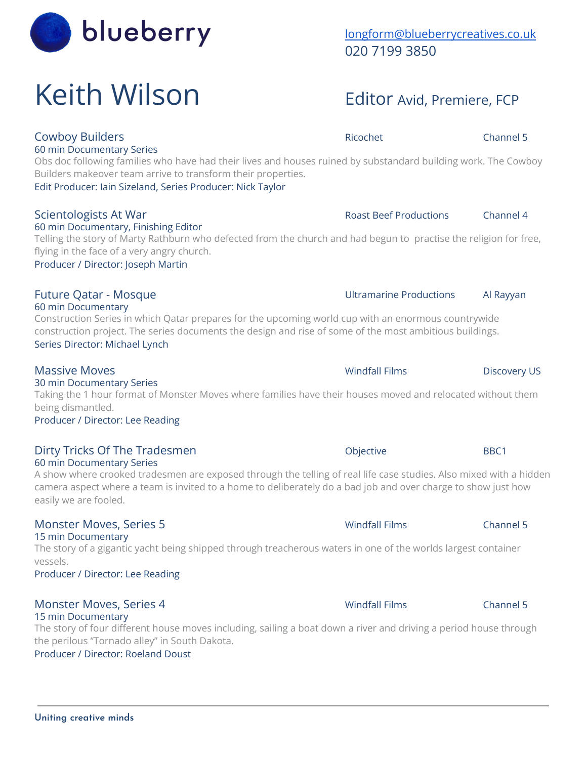# Keith Wilson Editor Avid, Premiere, FCP

### Cowboy Builders **Community** Cowboy Builders **Ricochet** Channel 5 60 min Documentary Series

Obs doc following families who have had their lives and houses ruined by substandard building work. The Cowboy Builders makeover team arrive to transform their properties.

Edit Producer: Iain Sizeland, Series Producer: Nick Taylor

## Scientologists At War **Roast Beef Productions** Channel 4

60 min Documentary, Finishing Editor Telling the story of Marty Rathburn who defected from the church and had begun to practise the religion for free, flying in the face of a very angry church.

Producer / Director: Joseph Martin

60 min Documentary

Construction Series in which Qatar prepares for the upcoming world cup with an enormous countrywide construction project. The series documents the design and rise of some of the most ambitious buildings. Series Director: Michael Lynch

## Massive Moves **Massive Moves** Windfall Films **Massive Moves** US

30 min Documentary Series Taking the 1 hour format of Monster Moves where families have their houses moved and relocated without them being dismantled.

Producer / Director: Lee Reading

### Dirty Tricks Of The Tradesmen **Container Container Container Container** BBC1 60 min Documentary Series

A show where crooked tradesmen are exposed through the telling of real life case studies. Also mixed with a hidden camera aspect where a team is invited to a home to deliberately do a bad job and over charge to show just how easily we are fooled.

## Monster Moves, Series 5 Windfall Films Channel 5

## 15 min Documentary

The story of a gigantic yacht being shipped through treacherous waters in one of the worlds largest container vessels.

Producer / Director: Lee Reading

### Monster Moves, Series 4 Windfall Films Channel 5 15 min Documentary

The story of four different house moves including, sailing a boat down a river and driving a period house through the perilous "Tornado alley" in South Dakota.

Producer / Director: Roeland Doust



## [longform@blueberrycreatives.co.uk](mailto:longform@blueberrycreatives.co.uk) 020 7199 3850

## Future Qatar - Mosque **Natally and Struture Catar - Mosque** Ultramarine Productions Al Rayyan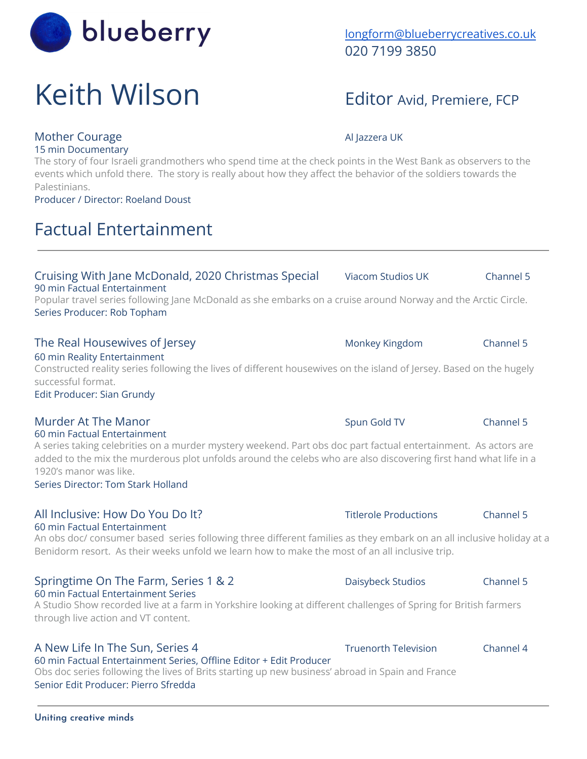## blueberry [longform@blueberrycreatives.co.uk](mailto:longform@blueberrycreatives.co.uk)

## Keith Wilson Editor Avid, Premiere, FCP

## Mother Courage Allazzera UK

The story of four Israeli grandmothers who spend time at the check points in the West Bank as observers to the events which unfold there. The story is really about how they affect the behavior of the soldiers towards the Palestinians.

Cruising With Jane McDonald, 2020 Christmas Special Viacom Studios UK Channel 5

Producer / Director: Roeland Doust

90 min Factual Entertainment

15 min Documentary

## Factual Entertainment

## Popular travel series following Jane McDonald as she embarks on a cruise around Norway and the Arctic Circle. Series Producer: Rob Topham The Real Housewives of Jersey **Monkey Kingdom** Channel 5 60 min Reality Entertainment

Constructed reality series following the lives of different housewives on the island of Jersey. Based on the hugely successful format. Edit Producer: Sian Grundy

### Murder At The Manor National Channel Spun Gold TV Channel 5 60 min Factual Entertainment

A series taking celebrities on a murder mystery weekend. Part obs doc part factual entertainment. As actors are added to the mix the murderous plot unfolds around the celebs who are also discovering first hand what life in a 1920's manor was like.

Series Director: Tom Stark Holland

## All Inclusive: How Do You Do It? Titlerole Productions Channel 5 60 min Factual Entertainment

An obs doc/ consumer based series following three different families as they embark on an all inclusive holiday at a Benidorm resort. As their weeks unfold we learn how to make the most of an all inclusive trip.

### Springtime On The Farm, Series 1 & 2 Daisybeck Studios Channel 5 60 min Factual Entertainment Series

A Studio Show recorded live at a farm in Yorkshire looking at different challenges of Spring for British farmers through live action and VT content.

## A New Life In The Sun, Series 4 Truenorth Television Channel 4

60 min Factual Entertainment Series, Offline Editor + Edit Producer Obs doc series following the lives of Brits starting up new business' abroad in Spain and France Senior Edit Producer: Pierro Sfredda

020 7199 3850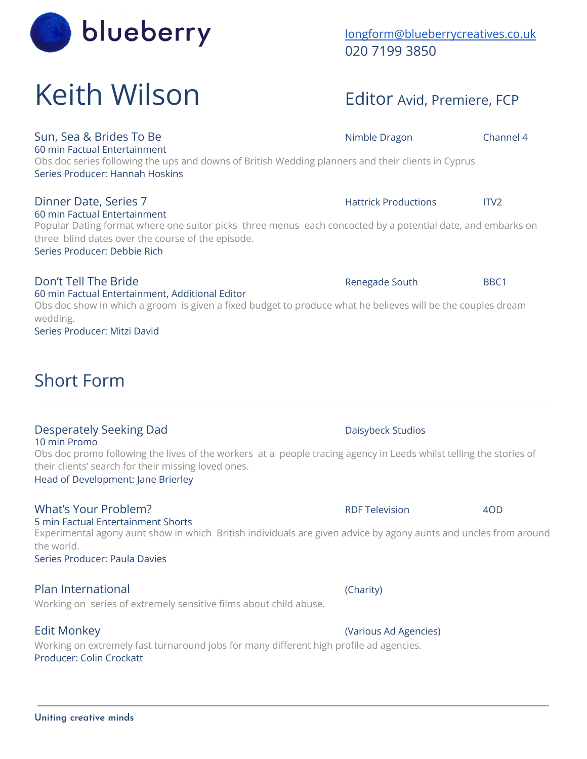## Sun, Sea & Brides To Be Nimble Dragon Channel 4

60 min Factual Entertainment Obs doc series following the ups and downs of British Wedding planners and their clients in Cyprus Series Producer: Hannah Hoskins

## 60 min Factual Entertainment

Popular Dating format where one suitor picks three menus each concocted by a potential date, and embarks on three blind dates over the course of the episode.

## Series Producer: Debbie Rich

## Don't Tell The Bride **Renegade South** BBC1

60 min Factual Entertainment, Additional Editor Obs doc show in which a groom is given a fixed budget to produce what he believes will be the couples dream wedding.

Series Producer: Mitzi David

## Short Form

## Desperately Seeking Dad Daisybeck Studios

## 10 min Promo

Obs doc promo following the lives of the workers at a people tracing agency in Leeds whilst telling the stories of their clients' search for their missing loved ones.

Head of Development: Jane Brierley

## What's Your Problem? The Contract of the RDF Television 40D

## 5 min Factual Entertainment Shorts

Experimental agony aunt show in which British individuals are given advice by agony aunts and uncles from around the world.

Series Producer: Paula Davies

## Plan International **Plan International** (Charity)

Working on series of extremely sensitive films about child abuse.

## Edit Monkey (Various Ad Agencies)

Working on extremely fast turnaround jobs for many different high profile ad agencies. Producer: Colin Crockatt

[longform@blueberrycreatives.co.uk](mailto:longform@blueberrycreatives.co.uk) 020 7199 3850

## Keith Wilson Editor Avid, Premiere, FCP

blueberry

Dinner Date, Series 7 **Hattrick Productions** ITV2